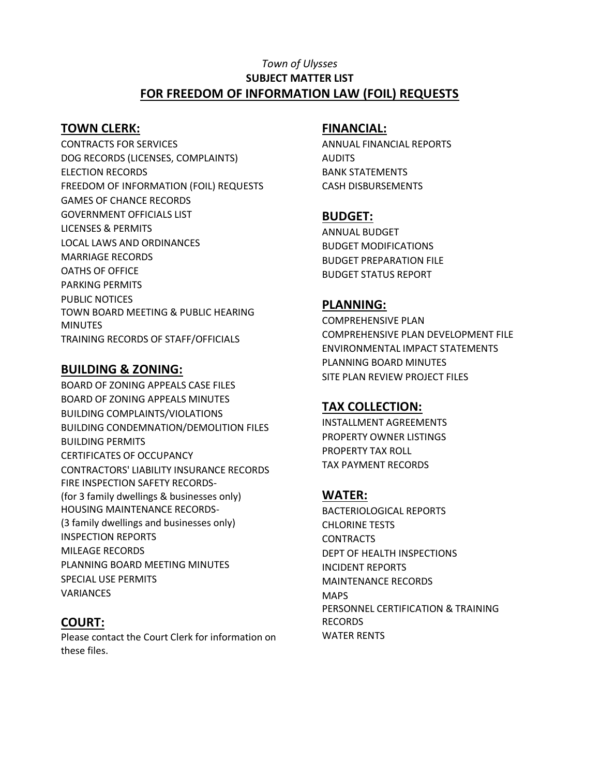#### *Town of Ulysses* **SUBJECT MATTER LIST FOR FREEDOM OF INFORMATION LAW (FOIL) REQUESTS**

#### **TOWN CLERK:**

CONTRACTS FOR SERVICES DOG RECORDS (LICENSES, COMPLAINTS) ELECTION RECORDS FREEDOM OF INFORMATION (FOIL) REQUESTS GAMES OF CHANCE RECORDS GOVERNMENT OFFICIALS LIST LICENSES & PERMITS LOCAL LAWS AND ORDINANCES MARRIAGE RECORDS OATHS OF OFFICE PARKING PERMITS PUBLIC NOTICES TOWN BOARD MEETING & PUBLIC HEARING MINUTES TRAINING RECORDS OF STAFF/OFFICIALS

#### **BUILDING & ZONING:**

BOARD OF ZONING APPEALS CASE FILES BOARD OF ZONING APPEALS MINUTES BUILDING COMPLAINTS/VIOLATIONS BUILDING CONDEMNATION/DEMOLITION FILES BUILDING PERMITS CERTIFICATES OF OCCUPANCY CONTRACTORS' LIABILITY INSURANCE RECORDS FIRE INSPECTION SAFETY RECORDS- (for 3 family dwellings & businesses only) HOUSING MAINTENANCE RECORDS- (3 family dwellings and businesses only) INSPECTION REPORTS MILEAGE RECORDS PLANNING BOARD MEETING MINUTES SPECIAL USE PERMITS VARIANCES

# **COURT:**

Please contact the Court Clerk for information on these files.

#### **FINANCIAL:**

ANNUAL FINANCIAL REPORTS AUDITS BANK STATEMENTS CASH DISBURSEMENTS

## **BUDGET:**

ANNUAL BUDGET BUDGET MODIFICATIONS BUDGET PREPARATION FILE BUDGET STATUS REPORT

## **PLANNING:**

COMPREHENSIVE PLAN COMPREHENSIVE PLAN DEVELOPMENT FILE ENVIRONMENTAL IMPACT STATEMENTS PLANNING BOARD MINUTES SITE PLAN REVIEW PROJECT FILES

# **TAX COLLECTION:**

INSTALLMENT AGREEMENTS PROPERTY OWNER LISTINGS PROPERTY TAX ROLL TAX PAYMENT RECORDS

# **WATER:**

BACTERIOLOGICAL REPORTS CHLORINE TESTS **CONTRACTS** DEPT OF HEALTH INSPECTIONS INCIDENT REPORTS MAINTENANCE RECORDS **MAPS** PERSONNEL CERTIFICATION & TRAINING RECORDS WATER RENTS